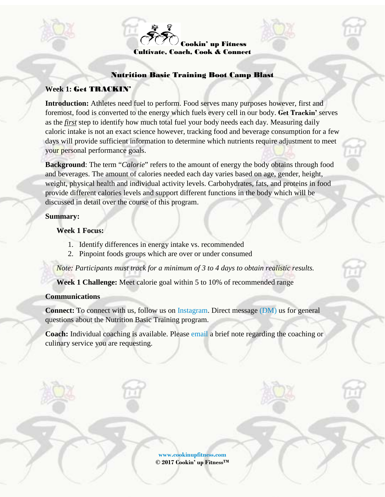

### Nutrition Basic Training Boot Camp Blast

### **Week 1:** Get TRACKIN'

**Introduction:** Athletes need fuel to perform. Food serves many purposes however, first and foremost, food is converted to the energy which fuels every cell in our body. **Get Trackin'** serves as the *first* step to identify how much total fuel your body needs each day. Measuring daily caloric intake is not an exact science however, tracking food and beverage consumption for a few days will provide sufficient information to determine which nutrients require adjustment to meet your personal performance goals.

**Background**: The term "*Calorie*" refers to the amount of energy the body obtains through food and beverages. The amount of calories needed each day varies based on age, gender, height, weight, physical health and individual activity levels. Carbohydrates, fats, and proteins in food provide different calories levels and support different functions in the body which will be discussed in detail over the course of this program.

### **Summary:**

**Week 1 Focus:**

- 1. Identify differences in energy intake vs. recommended
- 2. Pinpoint foods groups which are over or under consumed

*Note: Participants must track for a minimum of 3 to 4 days to obtain realistic results.*

**Week 1 Challenge:** Meet calorie goal within 5 to 10% of recommended range

### **Communications**

**Connect:** To connect with us, follow us on [Instagram.](https://www.instagram.com/cookinupfitness/) Direct message [\(DM\)](mailto:info@cookinupfitness.com?subject=Boot%20Camp%20Blast%20Question%20or%20Comment) us for general questions about the Nutrition Basic Training program.

**Coach:** Individual coaching is available. Please [email](mailto:info@cookinupfitness.com?subject=Individual%20Coaching) a brief note regarding the coaching or culinary service you are requesting.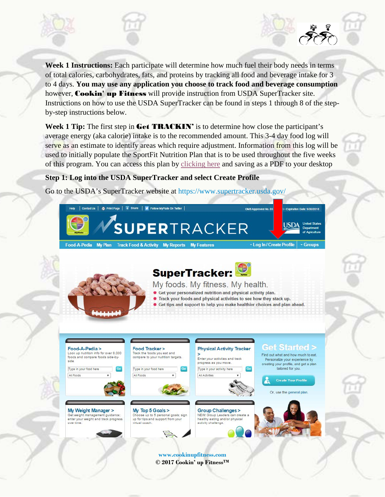**Week 1 Instructions:** Each participate will determine how much fuel their body needs in terms of total calories, carbohydrates, fats, and proteins by tracking all food and beverage intake for 3 to 4 days. **You may use any application you choose to track food and beverage consumption** however, **Cookin' up Fitness** will provide instruction from USDA SuperTracker site. Instructions on how to use the USDA SuperTracker can be found in steps 1 through 8 of the stepby-step instructions below.

Week 1 Tip: The first step in Get **TRACKIN'** is to determine how close the participant's average energy (aka calorie) intake is to the recommended amount. This 3-4 day food log will serve as an estimate to identify areas which require adjustment. Information from this log will be used to initially populate the SportFit Nutrition Plan that is to be used throughout the five weeks of this program. You can access this plan by [clicking](http://media.wix.com/ugd/cd10f3_bd14f028531248ce814ab60aa7fe56ce.pdf) here and saving as a PDF to your desktop

## **Step 1: Log into the USDA SuperTracker and select Create Profile**

Go to the USDA's SuperTracker website at <https://www.supertracker.usda.gov/>

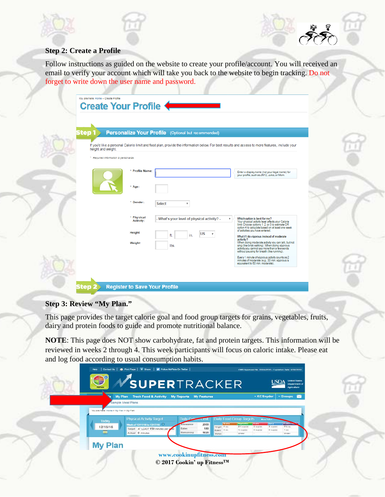



# **Step 2: Create a Profile**

Follow instructions as guided on the website to create your profile/account. You will received an email to verify your account which will take you back to the website to begin tracking. Do not forget to write down the user name and password.

| step                                   |                         | <b>Personalize Your Profile</b> (Optional but recommended)                                                                                      |                                                                                                                                                                                                                  |
|----------------------------------------|-------------------------|-------------------------------------------------------------------------------------------------------------------------------------------------|------------------------------------------------------------------------------------------------------------------------------------------------------------------------------------------------------------------|
| height and weight.                     |                         | If you'd like a personal Calorie limit and food plan, provide the information below. For best results and access to more features, include your |                                                                                                                                                                                                                  |
| * Required information to personalize. |                         |                                                                                                                                                 |                                                                                                                                                                                                                  |
|                                        | * Profile Name:         |                                                                                                                                                 | Enter a display name (not your legal name) for<br>your profile, such as JM12, Jules, or Mom.                                                                                                                     |
|                                        | $*$ Age:                |                                                                                                                                                 |                                                                                                                                                                                                                  |
|                                        | * Gender:               | <b>Select</b><br>$\overline{\mathbf{v}}$                                                                                                        |                                                                                                                                                                                                                  |
|                                        | * Physical<br>Activity: | - What's your level of physical activity? -                                                                                                     | Which option is best for me?<br>Your physical activity level affects your Calorie<br>limit. Choose options 1, 2, or 3 to estimate OR<br>option 4 to calculate based on at least one week                         |
|                                        | Height:                 | <b>US</b><br>ft.<br>in.                                                                                                                         | of activities you have entered.<br>What if I do vigorous instead of moderate                                                                                                                                     |
|                                        | Weight:                 | lbs.                                                                                                                                            | activity?<br>When doing moderate activity you can talk, but not<br>sing (like brisk walking). When doing vigorous<br>activity you cannot say more than a few words<br>without pausing for breath (like running). |
|                                        |                         |                                                                                                                                                 | Every 1 minute of vigorous activity counts as 2<br>minutes of moderate (e.g., 30 min. vigorous is<br>equivalent to 60 min. moderate).                                                                            |

# **Step 3: Review "My Plan."**

This page provides the target calorie goal and food group targets for grains, vegetables, fruits, dairy and protein foods to guide and promote nutritional balance.

**NOTE**: This page does NOT show carbohydrate, fat and protein targets. This information will be reviewed in weeks 2 through 4. This week participants will focus on caloric intake. Please eat and log food according to usual consumption habits.

|                                        | My Plan Track Food & Activity My Reports My Features<br>Sample Meal Plans                                                  |                                              |                                                                    |                                                                                                                                | * KCSnyder                                   | - Groups <b>M</b>                     |  |
|----------------------------------------|----------------------------------------------------------------------------------------------------------------------------|----------------------------------------------|--------------------------------------------------------------------|--------------------------------------------------------------------------------------------------------------------------------|----------------------------------------------|---------------------------------------|--|
| You are here: Home > My Plan > My Plan |                                                                                                                            |                                              |                                                                    |                                                                                                                                |                                              |                                       |  |
| <b>Today</b><br>12/16/16               | <b>Physical Activity Target</b><br>Week of 12/11/16 to 12/17/16 1<br>Target AT LEAST 150 minutes per y<br>Actual 0 minutes | Daily Cal<br>Allowance<br>Eaten<br>Remaining | 2000<br>Target 0 oz.<br>180<br>Eaten 0 oz<br>1820<br><b>Status</b> | <b>Daily Food Group Targets</b><br><b>Vegetables</b><br>Fruits<br>$2\%$ cup(s)<br>$2$ cup(s)<br>%sup(n)<br>$0$ cup(s)<br>Under | More Info?<br>Barr<br>3 cup(s)<br>$O$ cup(s) | Protein Fox<br>5% oz.<br>102<br>Under |  |
| <b>My Plan</b>                         |                                                                                                                            |                                              |                                                                    |                                                                                                                                |                                              |                                       |  |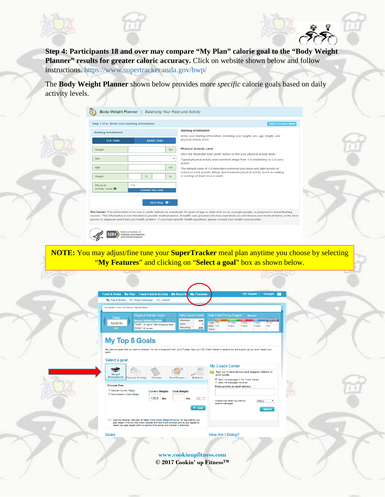





**Step 4: Participants 18 and over may compare "My Plan" calorie goal to the "Body Weight**  Planner" results for greater caloric accuracy. Click on website shown below and follow instructions. <https://www.supertracker.usda.gov/bwp/>

The **Body Weight Planner** shown below provides more *specific* calorie goals based on daily activity levels.

|                             |                     |     | <b>Starting Information</b>                                                                                                                                                                                                                                                                     |
|-----------------------------|---------------------|-----|-------------------------------------------------------------------------------------------------------------------------------------------------------------------------------------------------------------------------------------------------------------------------------------------------|
| <b>Starting Information</b> |                     |     | Enter your starting information, including your weight, sex, age, height, and                                                                                                                                                                                                                   |
| <b>U.S. Units</b>           | <b>Metric Units</b> |     | physical activity level.                                                                                                                                                                                                                                                                        |
| Weight                      |                     | lbs | <b>Physical Activity Level</b>                                                                                                                                                                                                                                                                  |
|                             |                     |     | Click the "Estimate Your Level" button to find your physical activity level.                                                                                                                                                                                                                    |
| Sex                         |                     | ٠   | Typical physical activity level numbers range from 1.4 (sedentary) to 2.5 (very<br>active).                                                                                                                                                                                                     |
| Age                         |                     | yrs | The default value of 1.6 describes someone who does very light activity at<br>school or work (mostly sitting) and moderate physical activity (such as walking                                                                                                                                   |
| Height                      | $\pi$               | in. | or cycling) at least once a week.                                                                                                                                                                                                                                                               |
| Physical                    | 1.6                 |     |                                                                                                                                                                                                                                                                                                 |
| Activity Level <sup>O</sup> | Estimate Your Level |     |                                                                                                                                                                                                                                                                                                 |
|                             |                     |     |                                                                                                                                                                                                                                                                                                 |
|                             | Next Step $\bullet$ |     |                                                                                                                                                                                                                                                                                                 |
|                             |                     |     | Disclaimer. This information is for use in adults defined as individuals 18 years of age or older and not by younger people, or pregnant or breastfeeding                                                                                                                                       |
|                             |                     |     | women. This information is not intended to provide medical advice. A health care provider who has examined you and knows your medical history is the best<br>person to diagnose and treat your health problem. If you have specific health questions, please consult your health care provider. |

**NOTE:** You may adjust/fine tune your **SuperTracker** meal plan anytime you choose by selecting "**My Features**" and clicking on "**Select a goal**" box as shown below.

| My Top 5 Goals   My Weight Manager   My Journal                 |                          |                                                                        |                                 |                          |                                         |             |                                                                                                                                               |                                                           |                                               |                                  |
|-----------------------------------------------------------------|--------------------------|------------------------------------------------------------------------|---------------------------------|--------------------------|-----------------------------------------|-------------|-----------------------------------------------------------------------------------------------------------------------------------------------|-----------------------------------------------------------|-----------------------------------------------|----------------------------------|
| You are here: Home > My Features > My Top 5 Goals               |                          |                                                                        |                                 |                          |                                         |             |                                                                                                                                               |                                                           |                                               |                                  |
| Todav                                                           |                          | <b>Physical Activity Target</b>                                        | <b>Daily Calorie Limit</b>      |                          |                                         |             | <b>Daily Food Group Targets</b>                                                                                                               |                                                           | More info>                                    |                                  |
| 12/20/16<br><b>FILL</b>                                         | Actual 0 minutes         | Week of 12/18/16 to 12/24/16 1<br>Target AT LEAST 150 minutes per week | Allowance<br>Eaten<br>Remaining | 2000<br>$\bf{0}$<br>2000 | Target 6 oz.<br>Eaten 0 oz.<br>statua - | Grains      | Vegetables<br>$2\frac{1}{2}$ cup(s)<br>$0$ cup( $s$ )                                                                                         | <b>Prufts</b><br>$2 \text{ cup}(s)$<br>$0 \text{ cup}(s)$ | Dairy<br>3 <sub>c</sub> (s)<br>$0$ cup( $s$ ) | Profein Foods<br>5% oz.<br>0 oz. |
| goals.                                                          |                          |                                                                        |                                 |                          |                                         |             |                                                                                                                                               |                                                           |                                               |                                  |
| Weight<br>Management                                            | <b>Physical Activity</b> | <b>Calories</b>                                                        | <b>Food Groups</b>              | <b>Nutrients</b>         |                                         | your goals. | <b>My Coach Center</b><br>Sign up to receive tips and support related to<br>Send me messages in My Coach Center<br>Send me messages via email |                                                           |                                               |                                  |
| Select a goal:<br><b>Choose One:</b><br>Maintain Current Weight |                          | <b>Current Weight:</b>                                                 | <b>Goal Weight:</b>             |                          |                                         |             | Please provide an email address:                                                                                                              |                                                           |                                               |                                  |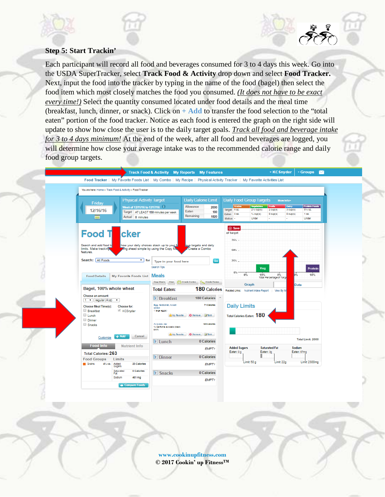# **Step 5: Start Trackin'**

Each participant will record all food and beverages consumed for 3 to 4 days this week. Go into the USDA SuperTracker, select **Track Food & Activity** drop down and select **Food Tracker.**  Next, input the food into the tracker by typing in the name of the food (bagel) then select the food item which most closely matches the food you consumed. *(It does not have to be exact every time!)* Select the quantity consumed located under food details and the meal time (breakfast, lunch, dinner, or snack). Click on **+ Add** to transfer the food selection to the "total eaten" portion of the food tracker. Notice as each food is entered the graph on the right side will update to show how close the user is to the daily target goals. *Track all food and beverage intake for 3 to 4 days minimum!* At the end of the week, after all food and beverages are logged, you will determine how close your average intake was to the recommended calorie range and daily food group targets.

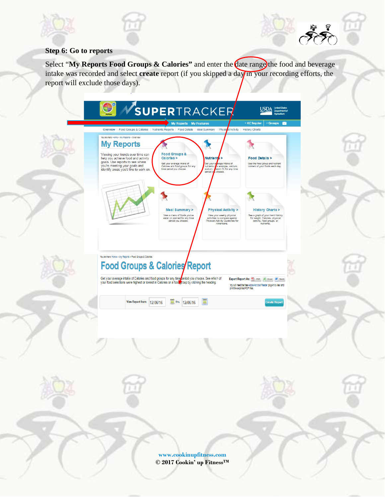

# **Step 6: Go to reports**

Select "My Reports Food Groups & Calories" and enter the date range the food and beverage intake was recorded and select **create** report (if you skipped a day in your recording efforts, the report will exclude those days).

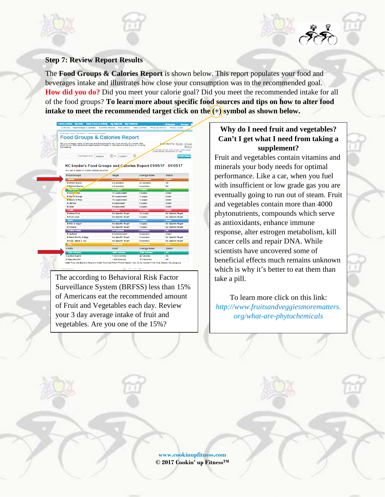### **Step 7: Review Report Results**

The **Food Groups & Calories Report** is shown below. This report populates your food and beverages intake and illustrates how close your consumption was to the recommended goal. **How did you do?** Did you meet your calorie goal? Did you meet the recommended intake for all of the food groups? **To learn more about specific food sources and tips on how to alter food**  intake to meet the recommended target click on the  $(+)$  symbol as shown below.



The according to Behavioral Risk Factor Surveillance System (BRFSS) less than 15% of Americans eat the recommended amount of Fruit and Vegetables each day. Review your 3 day average intake of fruit and vegetables. Are you one of the 15%?

# **Why do I need fruit and vegetables? Can't I get what I need from taking a supplement?**

Fruit and vegetables contain vitamins and minerals your body needs for optimal performance. Like a car, when you fuel with insufficient or low grade gas you are eventually going to run out of steam. Fruit and vegetables contain more than 4000 phytonutrients, compounds which serve as antioxidants, enhance immune response, alter estrogen metabolism, kill cancer cells and repair DNA. While scientists have uncovered some of beneficial effects much remains unknown which is why it's better to eat them than take a pill.

To learn more click on this link: *[http://www.fruitsandveggiesmorematters.](http://www.fruitsandveggiesmorematters.org/what-are-phytochemicals) [org/what-are-phytochemicals](http://www.fruitsandveggiesmorematters.org/what-are-phytochemicals)*